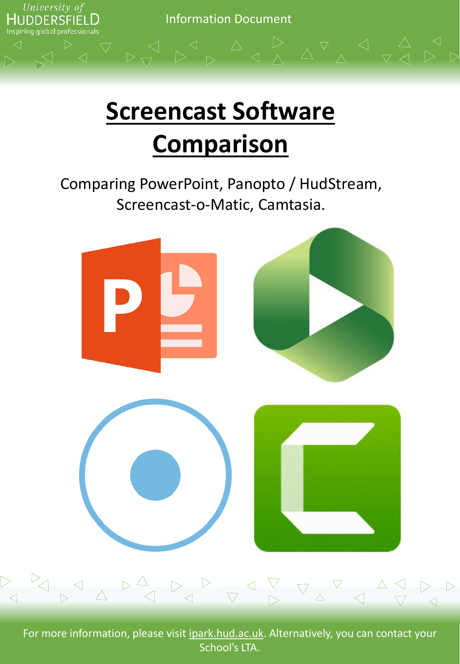

# **Screencast Software Comparison**

Comparing PowerPoint, Panopto / HudStream, Screencast-o-Matic, Camtasia.



For more information, please visit ipark.hud.ac.uk. Alternatively, you can contact your School's LTA.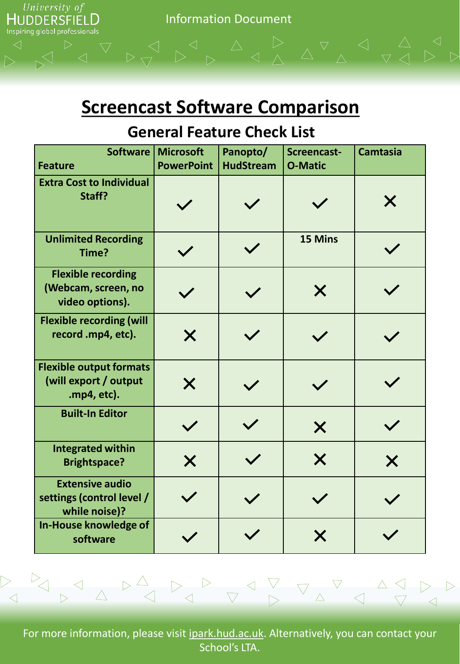

#### **Screencast Software Comparison**

#### **General Feature Check List**

| <b>Software</b><br><b>Feature</b>                                      | <b>Microsoft</b><br><b>PowerPoint</b> | Panopto/<br><b>HudStream</b> | Screencast-<br><b>O-Matic</b> | <b>Camtasia</b> |
|------------------------------------------------------------------------|---------------------------------------|------------------------------|-------------------------------|-----------------|
| <b>Extra Cost to Individual</b><br>Staff?                              |                                       |                              |                               | X               |
| <b>Unlimited Recording</b><br>Time?                                    |                                       | $\checkmark$                 | 15 Mins                       |                 |
| <b>Flexible recording</b><br>(Webcam, screen, no<br>video options).    |                                       |                              | X                             |                 |
| <b>Flexible recording (will</b><br>record .mp4, etc).                  | X                                     |                              |                               |                 |
| <b>Flexible output formats</b><br>(will export / output<br>.mp4, etc). | $\bm{\mathsf{X}}$                     |                              |                               |                 |
| <b>Built-In Editor</b>                                                 | $\checkmark$                          |                              | $\bm{\times}$                 |                 |
| <b>Integrated within</b><br><b>Brightspace?</b>                        | $\bm{\mathsf{X}}$                     |                              | X                             | X               |
| <b>Extensive audio</b><br>settings (control level /<br>while noise)?   |                                       |                              |                               |                 |
| In-House knowledge of<br>software                                      |                                       |                              | X                             |                 |

For more information, please visit ipark.hud.ac.uk. Alternatively, you can contact your School's LTA.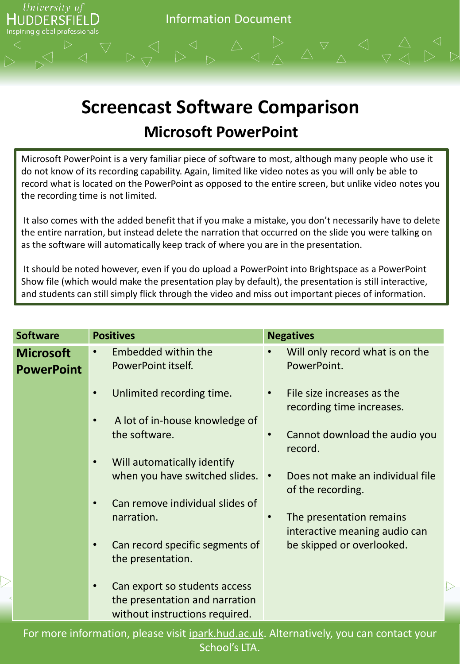

### **Screencast Software Comparison Microsoft PowerPoint**

Microsoft PowerPoint is a very familiar piece of software to most, although many people who use it do not know of its recording capability. Again, limited like video notes as you will only be able to record what is located on the PowerPoint as opposed to the entire screen, but unlike video notes you the recording time is not limited.

It also comes with the added benefit that if you make a mistake, you don't necessarily have to delete the entire narration, but instead delete the narration that occurred on the slide you were talking on as the software will automatically keep track of where you are in the presentation.

It should be noted however, even if you do upload a PowerPoint into Brightspace as a PowerPoint Show file (which would make the presentation play by default), the presentation is still interactive, and students can still simply flick through the video and miss out important pieces of information.

| <b>Software</b>                       | <b>Positives</b>                                                                                  | <b>Negatives</b>                                                       |
|---------------------------------------|---------------------------------------------------------------------------------------------------|------------------------------------------------------------------------|
| <b>Microsoft</b><br><b>PowerPoint</b> | <b>Embedded within the</b><br>PowerPoint itself.                                                  | Will only record what is on the<br>PowerPoint.                         |
|                                       | Unlimited recording time.<br>$\bullet$                                                            | File size increases as the<br>$\bullet$<br>recording time increases.   |
|                                       | A lot of in-house knowledge of<br>the software.                                                   | Cannot download the audio you<br>$\bullet$<br>record.                  |
|                                       | Will automatically identify<br>$\bullet$<br>when you have switched slides.                        | Does not make an individual file<br>$\bullet$<br>of the recording.     |
|                                       | Can remove individual slides of<br>$\bullet$<br>narration.                                        | The presentation remains<br>$\bullet$<br>interactive meaning audio can |
|                                       | Can record specific segments of<br>$\bullet$<br>the presentation.                                 | be skipped or overlooked.                                              |
|                                       | Can export so students access<br>the presentation and narration<br>without instructions required. |                                                                        |

For more information, please visit ipark.hud.ac.uk. Alternatively, you can contact your School's LTA.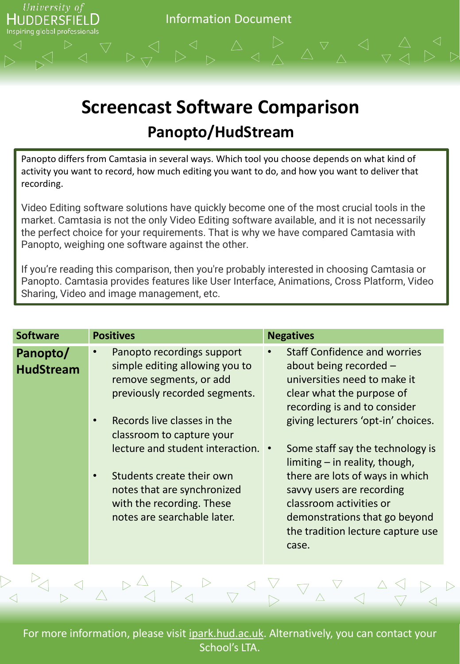

## **Screencast Software Comparison Panopto/HudStream**

Panopto differs from Camtasia in several ways. Which tool you choose depends on what kind of activity you want to record, how much editing you want to do, and how you want to deliver that recording.

Video Editing software solutions have quickly become one of the most crucial tools in the market. Camtasia is not the only Video Editing software available, and it is not necessarily the perfect choice for your requirements. That is why we have compared Camtasia with Panopto, weighing one software against the other.

If you're reading this comparison, then you're probably interested in choosing Camtasia or Panopto. Camtasia provides features like User Interface, Animations, Cross Platform, Video Sharing, Video and image management, etc.

| <b>Software</b>              | <b>Positives</b>                                                                                                                                                                                                                                                                                                                                                | <b>Negatives</b>                                                                                                                                                                                                                                                                                                                                                                                                                                   |
|------------------------------|-----------------------------------------------------------------------------------------------------------------------------------------------------------------------------------------------------------------------------------------------------------------------------------------------------------------------------------------------------------------|----------------------------------------------------------------------------------------------------------------------------------------------------------------------------------------------------------------------------------------------------------------------------------------------------------------------------------------------------------------------------------------------------------------------------------------------------|
| Panopto/<br><b>HudStream</b> | Panopto recordings support<br>$\bullet$<br>simple editing allowing you to<br>remove segments, or add<br>previously recorded segments.<br>Records live classes in the<br>classroom to capture your<br>lecture and student interaction. •<br>Students create their own<br>notes that are synchronized<br>with the recording. These<br>notes are searchable later. | <b>Staff Confidence and worries</b><br>about being recorded -<br>universities need to make it<br>clear what the purpose of<br>recording is and to consider<br>giving lecturers 'opt-in' choices.<br>Some staff say the technology is<br>limiting $-$ in reality, though,<br>there are lots of ways in which<br>savvy users are recording<br>classroom activities or<br>demonstrations that go beyond<br>the tradition lecture capture use<br>case. |

For more information, please visit *ipark.hud.ac.uk*. Alternatively, you can contact your School's LTA.

A A P A P A P A P A A P P A A P P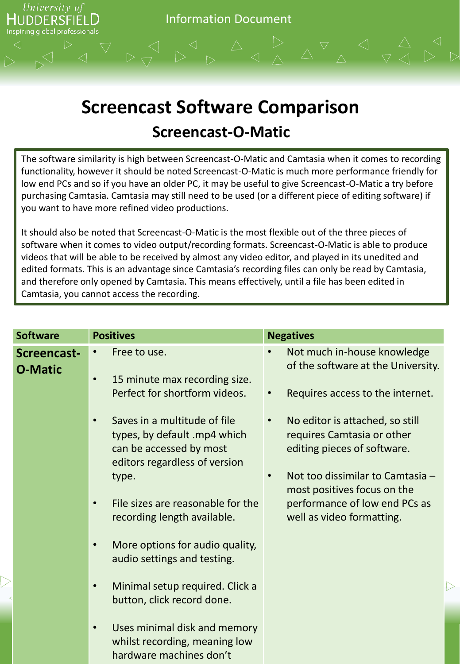

#### **Screencast Software Comparison Screencast-O-Matic**

The software similarity is high between Screencast-O-Matic and Camtasia when it comes to recording functionality, however it should be noted Screencast-O-Matic is much more performance friendly for low end PCs and so if you have an older PC, it may be useful to give Screencast-O-Matic a try before purchasing Camtasia. Camtasia may still need to be used (or a different piece of editing software) if you want to have more refined video productions.

It should also be noted that Screencast-O-Matic is the most flexible out of the three pieces of software when it comes to video output/recording formats. Screencast-O-Matic is able to produce videos that will be able to be received by almost any video editor, and played in its unedited and edited formats. This is an advantage since Camtasia's recording files can only be read by Camtasia, and therefore only opened by Camtasia. This means effectively, until a file has been edited in Camtasia, you cannot access the recording.

| <b>Software</b>               | <b>Positives</b>                                                                                                                      | <b>Negatives</b>                                                                             |
|-------------------------------|---------------------------------------------------------------------------------------------------------------------------------------|----------------------------------------------------------------------------------------------|
| Screencast-<br><b>O-Matic</b> | Free to use.<br>$\bullet$<br>15 minute max recording size.<br>$\bullet$                                                               | Not much in-house knowledge<br>of the software at the University.                            |
|                               | Perfect for shortform videos.                                                                                                         | Requires access to the internet.                                                             |
|                               | Saves in a multitude of file<br>$\bullet$<br>types, by default .mp4 which<br>can be accessed by most<br>editors regardless of version | No editor is attached, so still<br>requires Camtasia or other<br>editing pieces of software. |
|                               | type.                                                                                                                                 | Not too dissimilar to Camtasia -<br>most positives focus on the                              |
|                               | File sizes are reasonable for the<br>$\bullet$<br>recording length available.                                                         | performance of low end PCs as<br>well as video formatting.                                   |
|                               | More options for audio quality,<br>$\bullet$<br>audio settings and testing.                                                           |                                                                                              |
|                               | Minimal setup required. Click a<br>$\bullet$<br>button, click record done.                                                            |                                                                                              |
|                               | Uses minimal disk and memory<br>$\bullet$<br>whilst recording, meaning low<br>hardware machines don't                                 |                                                                                              |

 $\triangleright$